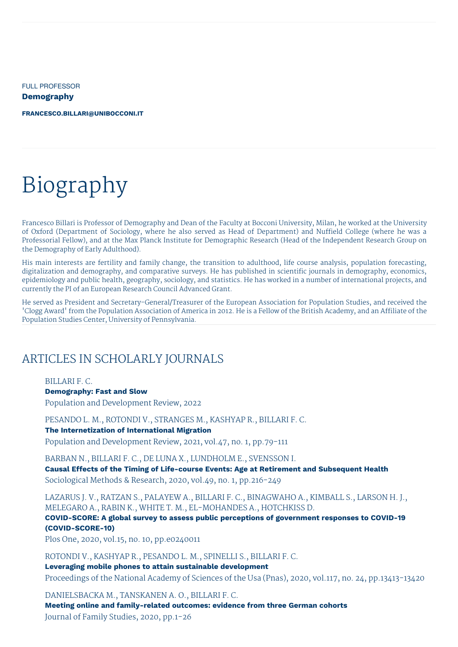FULL PROFESSOR

**Demography**

**[FRANCESCO.BILLARI@UNIBOCCONI.IT](mailto:francesco.billari@unibocconi.it)**

# Biography

Francesco Billari is Professor of Demography and Dean of the Faculty at Bocconi University, Milan, he worked at the University of Oxford (Department of Sociology, where he also served as Head of Department) and Nuffield College (where he was a Professorial Fellow), and at the Max Planck Institute for Demographic Research (Head of the Independent Research Group on the Demography of Early Adulthood).

His main interests are fertility and family change, the transition to adulthood, life course analysis, population forecasting, digitalization and demography, and comparative surveys. He has published in scientific journals in demography, economics, epidemiology and public health, geography, sociology, and statistics. He has worked in a number of international projects, and currently the PI of an European Research Council Advanced Grant.

He served as President and Secretary-General/Treasurer of the European Association for Population Studies, and received the 'Clogg Award' from the Population Association of America in 2012. He is a Fellow of the British Academy, and an Affiliate of the Population Studies Center, University of Pennsylvania.

# ARTICLES IN SCHOLARLY JOURNALS

BILLARI F. C. **Demography: Fast and Slow**

Population and Development Review, 2022

PESANDO L. M., ROTONDI V., STRANGES M., KASHYAP R., BILLARI F. C. **The Internetization of International Migration** Population and Development Review, 2021, vol.47, no. 1, pp.79-111

BARBAN N., BILLARI F. C., DE LUNA X., LUNDHOLM E., SVENSSON I. **Causal Effects of the Timing of Life-course Events: Age at Retirement and Subsequent Health** Sociological Methods & Research, 2020, vol.49, no. 1, pp.216-249

LAZARUS J. V., RATZAN S., PALAYEW A., BILLARI F. C., BINAGWAHO A., KIMBALL S., LARSON H. J., MELEGARO A., RABIN K., WHITE T. M., EL-MOHANDES A., HOTCHKISS D. **COVID-SCORE: A global survey to assess public perceptions of government responses to COVID-19 (COVID-SCORE-10)**

Plos One, 2020, vol.15, no. 10, pp.e0240011

ROTONDI V., KASHYAP R., PESANDO L. M., SPINELLI S., BILLARI F. C. **Leveraging mobile phones to attain sustainable development** Proceedings of the National Academy of Sciences of the Usa (Pnas), 2020, vol.117, no. 24, pp.13413-13420

DANIELSBACKA M., TANSKANEN A. O., BILLARI F. C. **Meeting online and family-related outcomes: evidence from three German cohorts** Journal of Family Studies, 2020, pp.1-26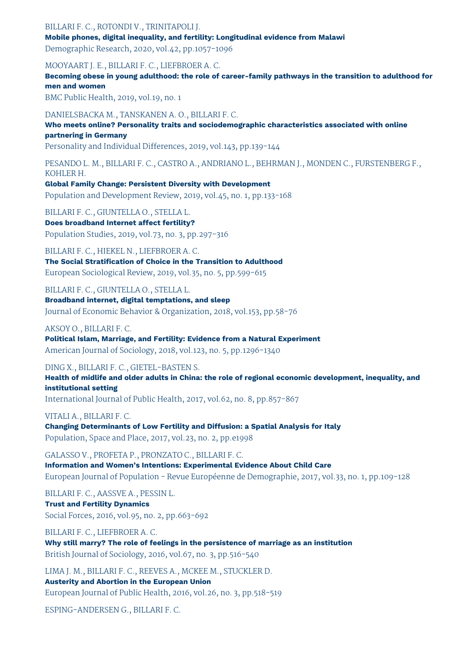### BILLARI F. C., ROTONDI V., TRINITAPOLI J.

**Mobile phones, digital inequality, and fertility: Longitudinal evidence from Malawi** Demographic Research, 2020, vol.42, pp.1057-1096

MOOYAART J. E., BILLARI F. C., LIEFBROER A. C. **Becoming obese in young adulthood: the role of career-family pathways in the transition to adulthood for men and women** BMC Public Health, 2019, vol.19, no. 1 DANIELSBACKA M., TANSKANEN A. O., BILLARI F. C. **Who meets online? Personality traits and sociodemographic characteristics associated with online partnering in Germany** Personality and Individual Differences, 2019, vol.143, pp.139-144 PESANDO L. M., BILLARI F. C., CASTRO A., ANDRIANO L., BEHRMAN J., MONDEN C., FURSTENBERG F., KOHLER H. **Global Family Change: Persistent Diversity with Development** Population and Development Review, 2019, vol.45, no. 1, pp.133-168 BILLARI F. C., GIUNTELLA O., STELLA L. **Does broadband Internet affect fertility?** Population Studies, 2019, vol.73, no. 3, pp.297-316 BILLARI F. C., HIEKEL N., LIEFBROER A. C. **The Social Stratification of Choice in the Transition to Adulthood** European Sociological Review, 2019, vol.35, no. 5, pp.599-615 BILLARI F. C., GIUNTELLA O., STELLA L.

**Broadband internet, digital temptations, and sleep** Journal of Economic Behavior & Organization, 2018, vol.153, pp.58-76

#### AKSOY O., BILLARI F. C.

**Political Islam, Marriage, and Fertility: Evidence from a Natural Experiment** American Journal of Sociology, 2018, vol.123, no. 5, pp.1296-1340

### DING X., BILLARI F. C., GIETEL-BASTEN S.

**Health of midlife and older adults in China: the role of regional economic development, inequality, and institutional setting**

International Journal of Public Health, 2017, vol.62, no. 8, pp.857-867

### VITALI A., BILLARI F. C.

**Changing Determinants of Low Fertility and Diffusion: a Spatial Analysis for Italy** Population, Space and Place, 2017, vol.23, no. 2, pp.e1998

GALASSO V., PROFETA P., PRONZATO C., BILLARI F. C. **Information and Women's Intentions: Experimental Evidence About Child Care** European Journal of Population - Revue Européenne de Demographie, 2017, vol.33, no. 1, pp.109-128

BILLARI F. C., AASSVE A., PESSIN L. **Trust and Fertility Dynamics** Social Forces, 2016, vol.95, no. 2, pp.663-692

BILLARI F. C., LIEFBROER A. C. **Why still marry? The role of feelings in the persistence of marriage as an institution** British Journal of Sociology, 2016, vol.67, no. 3, pp.516-540

LIMA J. M., BILLARI F. C., REEVES A., MCKEE M., STUCKLER D. **Austerity and Abortion in the European Union** European Journal of Public Health, 2016, vol.26, no. 3, pp.518-519

ESPING-ANDERSEN G., BILLARI F. C.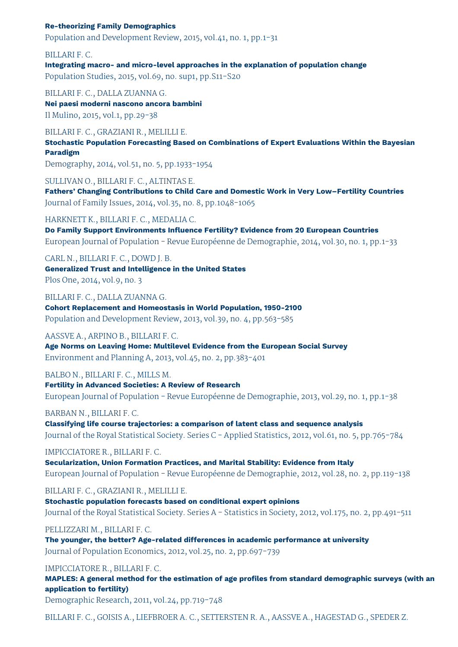### **Re-theorizing Family Demographics**

Population and Development Review, 2015, vol.41, no. 1, pp.1-31

BILLARI F. C. **Integrating macro- and micro-level approaches in the explanation of population change** Population Studies, 2015, vol.69, no. sup1, pp.S11-S20

BILLARI F. C., DALLA ZUANNA G. **Nei paesi moderni nascono ancora bambini** Il Mulino, 2015, vol.1, pp.29-38

BILLARI F. C., GRAZIANI R., MELILLI E. **Stochastic Population Forecasting Based on Combinations of Expert Evaluations Within the Bayesian Paradigm**

Demography, 2014, vol.51, no. 5, pp.1933-1954

SULLIVAN O., BILLARI F. C., ALTINTAS E.

**Fathers' Changing Contributions to Child Care and Domestic Work in Very Low–Fertility Countries** Journal of Family Issues, 2014, vol.35, no. 8, pp.1048-1065

### HARKNETT K., BILLARI F. C., MEDALIA C.

**Do Family Support Environments Influence Fertility? Evidence from 20 European Countries** European Journal of Population - Revue Européenne de Demographie, 2014, vol.30, no. 1, pp.1-33

CARL N., BILLARI F. C., DOWD J. B. **Generalized Trust and Intelligence in the United States** Plos One, 2014, vol.9, no. 3

BILLARI F. C., DALLA ZUANNA G. **Cohort Replacement and Homeostasis in World Population, 1950-2100** Population and Development Review, 2013, vol.39, no. 4, pp.563-585

#### AASSVE A., ARPINO B., BILLARI F. C.

**Age Norms on Leaving Home: Multilevel Evidence from the European Social Survey** Environment and Planning A, 2013, vol.45, no. 2, pp.383-401

BALBO N., BILLARI F. C., MILLS M.

**Fertility in Advanced Societies: A Review of Research** European Journal of Population - Revue Européenne de Demographie, 2013, vol.29, no. 1, pp.1-38

#### BARBAN N., BILLARI F. C.

**Classifying life course trajectories: a comparison of latent class and sequence analysis** Journal of the Royal Statistical Society. Series C - Applied Statistics, 2012, vol.61, no. 5, pp.765-784

#### IMPICCIATORE R., BILLARI F. C.

**Secularization, Union Formation Practices, and Marital Stability: Evidence from Italy** European Journal of Population - Revue Européenne de Demographie, 2012, vol.28, no. 2, pp.119-138

BILLARI F. C., GRAZIANI R., MELILLI E.

**Stochastic population forecasts based on conditional expert opinions** Journal of the Royal Statistical Society. Series A - Statistics in Society, 2012, vol.175, no. 2, pp.491-511

#### PELLIZZARI M., BILLARI F. C.

**The younger, the better? Age-related differences in academic performance at university** Journal of Population Economics, 2012, vol.25, no. 2, pp.697-739

### IMPICCIATORE R., BILLARI F. C.

**MAPLES: A general method for the estimation of age profiles from standard demographic surveys (with an application to fertility)**

Demographic Research, 2011, vol.24, pp.719-748

BILLARI F. C., GOISIS A., LIEFBROER A. C., SETTERSTEN R. A., AASSVE A., HAGESTAD G., SPEDER Z.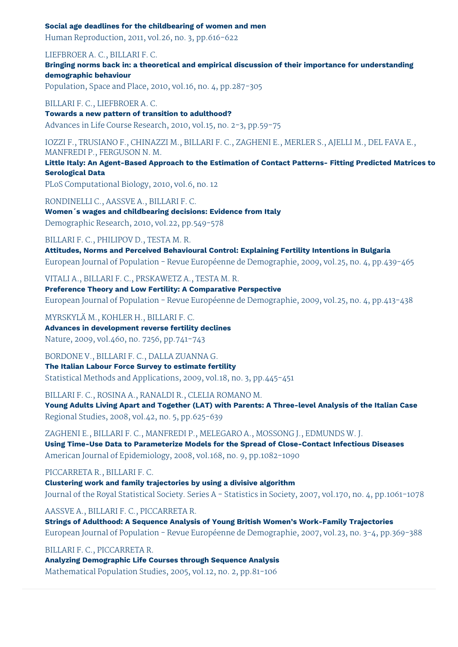#### **Social age deadlines for the childbearing of women and men**

Human Reproduction, 2011, vol.26, no. 3, pp.616-622

LIEFBROER A. C., BILLARI F. C.

**Bringing norms back in: a theoretical and empirical discussion of their importance for understanding demographic behaviour**

Population, Space and Place, 2010, vol.16, no. 4, pp.287-305

BILLARI F. C., LIEFBROER A. C.

**Towards a new pattern of transition to adulthood?** Advances in Life Course Research, 2010, vol.15, no. 2-3, pp.59-75

IOZZI F., TRUSIANO F., CHINAZZI M., BILLARI F. C., ZAGHENI E., MERLER S., AJELLI M., DEL FAVA E., MANFREDI P., FERGUSON N. M.

**Little Italy: An Agent-Based Approach to the Estimation of Contact Patterns- Fitting Predicted Matrices to Serological Data**

PLoS Computational Biology, 2010, vol.6, no. 12

RONDINELLI C., AASSVE A., BILLARI F. C. **Women´s wages and childbearing decisions: Evidence from Italy**

Demographic Research, 2010, vol.22, pp.549-578

### BILLARI F. C., PHILIPOV D., TESTA M. R.

**Attitudes, Norms and Perceived Behavioural Control: Explaining Fertility Intentions in Bulgaria** European Journal of Population - Revue Européenne de Demographie, 2009, vol.25, no. 4, pp.439-465

VITALI A., BILLARI F. C., PRSKAWETZ A., TESTA M. R.

**Preference Theory and Low Fertility: A Comparative Perspective** European Journal of Population - Revue Européenne de Demographie, 2009, vol.25, no. 4, pp.413-438

MYRSKYLÄ M., KOHLER H., BILLARI F. C. **Advances in development reverse fertility declines** Nature, 2009, vol.460, no. 7256, pp.741-743

BORDONE V., BILLARI F. C., DALLA ZUANNA G.

**The Italian Labour Force Survey to estimate fertility** Statistical Methods and Applications, 2009, vol.18, no. 3, pp.445-451

BILLARI F. C., ROSINA A., RANALDI R., CLELIA ROMANO M. **Young Adults Living Apart and Together (LAT) with Parents: A Three-level Analysis of the Italian Case**

Regional Studies, 2008, vol.42, no. 5, pp.625-639

ZAGHENI E., BILLARI F. C., MANFREDI P., MELEGARO A., MOSSONG J., EDMUNDS W. J. **Using Time-Use Data to Parameterize Models for the Spread of Close-Contact Infectious Diseases** American Journal of Epidemiology, 2008, vol.168, no. 9, pp.1082-1090

PICCARRETA R., BILLARI F. C.

**Clustering work and family trajectories by using a divisive algorithm** Journal of the Royal Statistical Society. Series A - Statistics in Society, 2007, vol.170, no. 4, pp.1061-1078

AASSVE A., BILLARI F. C., PICCARRETA R.

**Strings of Adulthood: A Sequence Analysis of Young British Women's Work-Family Trajectories** European Journal of Population - Revue Européenne de Demographie, 2007, vol.23, no. 3-4, pp.369-388

BILLARI F. C., PICCARRETA R.

**Analyzing Demographic Life Courses through Sequence Analysis** Mathematical Population Studies, 2005, vol.12, no. 2, pp.81-106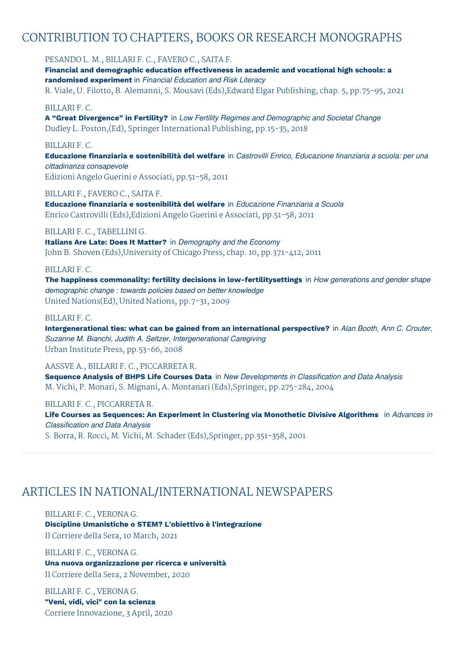## CONTRIBUTION TO CHAPTERS, BOOKS OR RESEARCH MONOGRAPHS

PESANDO L. M., BILLARI F. C., FAVERO C., SAITA F.

**Financial and demographic education effectiveness in academic and vocational high schools: a randomised experiment** in *Financial Education and Risk Literacy* R. Viale, U. Filotto, B. Alemanni, S. Mousavi (Eds),Edward Elgar Publishing, chap. 5, pp.75-95, 2021

### BILLARI F. C.

**A "Great Divergence" in Fertility?** in *Low Fertility Regimes and Demographic and Societal Change* Dudley L. Poston,(Ed), Springer International Publishing, pp.15-35, 2018

### BILLARI F. C.

**Educazione finanziaria e sostenibilità del welfare** in *Castrovilli Enrico, Educazione finanziaria a scuola: per una cittadinanza consapevole* Edizioni Angelo Guerini e Associati, pp.51-58, 2011

BILLARI F., FAVERO C., SAITA F.

**Educazione finanziaria e sostenibilità del welfare** in *Educazione Finanziaria a Scuola* Enrico Castrovilli (Eds),Edizioni Angelo Guerini e Associati, pp.51-58, 2011

### BILLARI F. C., TABELLINI G.

**Italians Are Late: Does It Matter?** in *Demography and the Economy* John B. Shoven (Eds),University of Chicago Press, chap. 10, pp.371-412, 2011

### BILLARI F. C.

**The happiness commonality: fertility decisions in low-fertilitysettings** in *How generations and gender shape demographic change : towards policies based on better knowledge* United Nations(Ed), United Nations, pp.7-31, 2009

### BILLARI F. C.

**Intergenerational ties: what can be gained from an international perspective?** in *Alan Booth, Ann C. Crouter, Suzanne M. Bianchi, Judith A. Seltzer, Intergenerational Caregiving* Urban Institute Press, pp.53-66, 2008

### AASSVE A., BILLARI F. C., PICCARRETA R.

**Sequence Analysis of BHPS Life Courses Data** in *New Developments in Classification and Data Analysis* M. Vichi, P. Monari, S. Mignani, A. Montanari (Eds),Springer, pp.275-284, 2004

### BILLARI F. C., PICCARRETA R.

**Life Courses as Sequences: An Experiment in Clustering via Monothetic Divisive Algorithms** in *Advances in Classification and Data Analysis*

S. Borra, R. Rocci, M. Vichi, M. Schader (Eds),Springer, pp.351-358, 2001

## ARTICLES IN NATIONAL/INTERNATIONAL NEWSPAPERS

BILLARI F. C., VERONA G. **Discipline Umanistiche o STEM? L'obiettivo è l'integrazione** Il Corriere della Sera, 10 March, 2021

BILLARI F. C., VERONA G. **Una nuova organizzazione per ricerca e università** Il Corriere della Sera, 2 November, 2020

BILLARI F. C., VERONA G. **"Veni, vidi, vici" con la scienza** Corriere Innovazione, 3 April, 2020